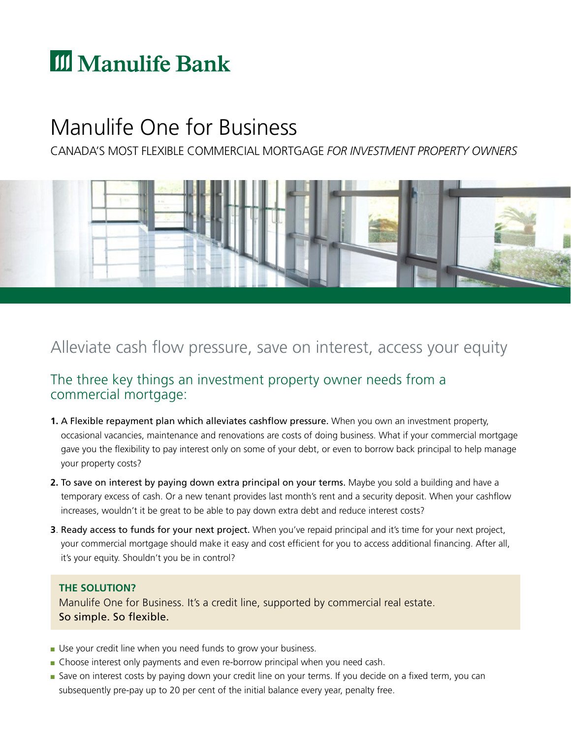# **III** Manulife Bank

## Manulife One for Business

CANADA'S MOST FLEXIBLE COMMERCIAL MORTGAGE *FOR INVESTMENT PROPERTY OWNERS* 



## Alleviate cash flow pressure, save on interest, access your equity

### The three key things an investment property owner needs from a commercial mortgage:

- **1.** A Flexible repayment plan which alleviates cashfow pressure. When you own an investment property, occasional vacancies, maintenance and renovations are costs of doing business. What if your commercial mortgage gave you the fexibility to pay interest only on some of your debt, or even to borrow back principal to help manage your property costs?
- **2.** To save on interest by paying down extra principal on your terms. Maybe you sold a building and have a temporary excess of cash. Or a new tenant provides last month's rent and a security deposit. When your cashfow increases, wouldn't it be great to be able to pay down extra debt and reduce interest costs?
- **3**. Ready access to funds for your next project. When you've repaid principal and it's time for your next project, your commercial mortgage should make it easy and cost efficient for you to access additional financing. After all, it's your equity. Shouldn't you be in control?

#### **THE SOLUTION?**

Manulife One for Business. It's a credit line, supported by commercial real estate. So simple. So flexible.

- Use your credit line when you need funds to grow your business.
- Choose interest only payments and even re-borrow principal when you need cash.
- Save on interest costs by paying down your credit line on your terms. If you decide on a fixed term, you can subsequently pre-pay up to 20 per cent of the initial balance every year, penalty free.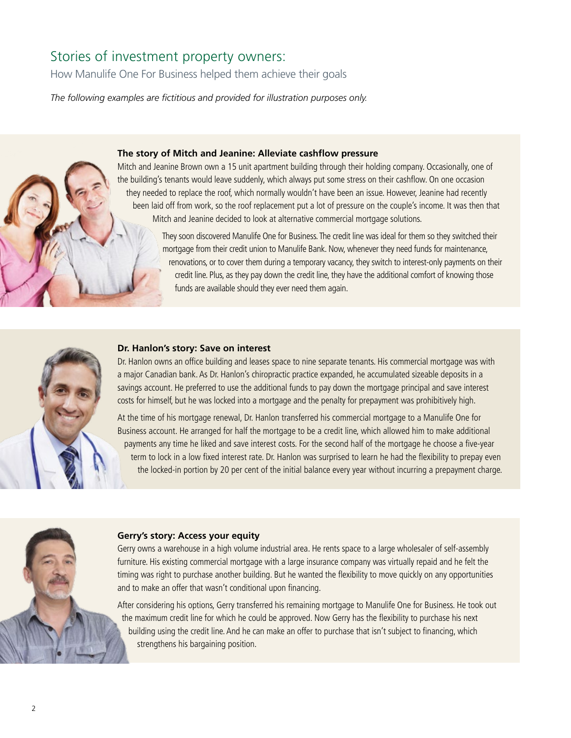## Stories of investment property owners:

i

How Manulife One For Business helped them achieve their goals

The following examples are fictitious and provided for illustration purposes only.

#### **The story of Mitch and Jeanine: Alleviate cashflow pressure**

Mitch and Jeanine Brown own a 15 unit apartment building through their holding company. Occasionally, one of the building's tenants would leave suddenly, which always put some stress on their cashfow. On one occasion they needed to replace the roof, which normally wouldn't have been an issue. However, Jeanine had recently been laid off from work, so the roof replacement put a lot of pressure on the couple's income. It was then that Mitch and Jeanine decided to look at alternative commercial mortgage solutions.

> They soon discovered Manulife One for Business. The credit line was ideal for them so they switched their mortgage from their credit union to Manulife Bank. Now, whenever they need funds for maintenance, renovations, or to cover them during a temporary vacancy, they switch to interest-only payments on their credit line. Plus, as they pay down the credit line, they have the additional comfort of knowing those funds are available should they ever need them again.



#### **Dr. Hanlon's story: Save on interest**

Dr. Hanlon owns an offce building and leases space to nine separate tenants. His commercial mortgage was with a major Canadian bank. As Dr. Hanlon's chiropractic practice expanded, he accumulated sizeable deposits in a savings account. He preferred to use the additional funds to pay down the mortgage principal and save interest costs for himself, but he was locked into a mortgage and the penalty for prepayment was prohibitively high.

At the time of his mortgage renewal, Dr. Hanlon transferred his commercial mortgage to a Manulife One for Business account. He arranged for half the mortgage to be a credit line, which allowed him to make additional payments any time he liked and save interest costs. For the second half of the mortgage he choose a fve-year term to lock in a low fixed interest rate. Dr. Hanlon was surprised to learn he had the flexibility to prepay even the locked-in portion by 20 per cent of the initial balance every year without incurring a prepayment charge.



#### **Gerry's story: Access your equity**

Gerry owns a warehouse in a high volume industrial area. He rents space to a large wholesaler of self-assembly furniture. His existing commercial mortgage with a large insurance company was virtually repaid and he felt the timing was right to purchase another building. But he wanted the fexibility to move quickly on any opportunities and to make an offer that wasn't conditional upon fnancing.

After considering his options, Gerry transferred his remaining mortgage to Manulife One for Business. He took out the maximum credit line for which he could be approved. Now Gerry has the fexibility to purchase his next building using the credit line. And he can make an offer to purchase that isn't subject to fnancing, which strengthens his bargaining position.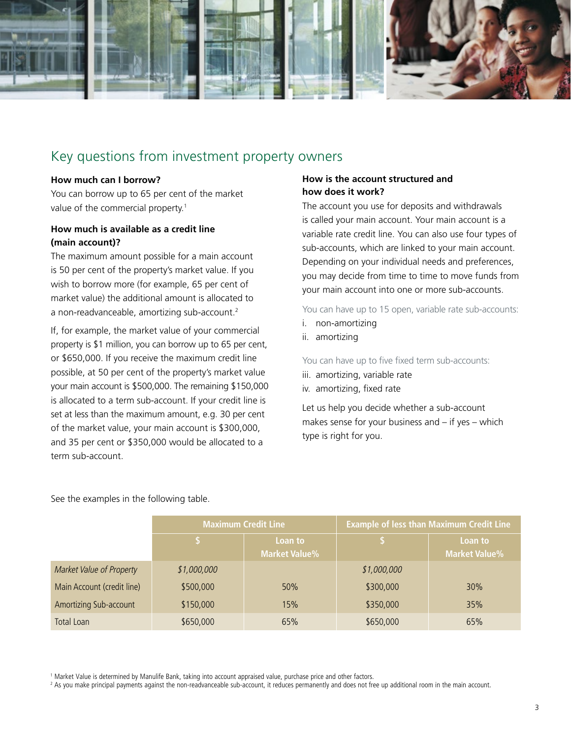

### Key questions from investment property owners

#### **How much can I borrow?**

You can borrow up to 65 per cent of the market value of the commercial property.<sup>1</sup>

#### **How much is available as a credit line (main account)?**

The maximum amount possible for a main account is 50 per cent of the property's market value. If you wish to borrow more (for example, 65 per cent of market value) the additional amount is allocated to a non-readvanceable, amortizing sub-account.<sup>2</sup>

If, for example, the market value of your commercial property is \$1 million, you can borrow up to 65 per cent, or \$650,000. If you receive the maximum credit line possible, at 50 per cent of the property's market value your main account is \$500,000. The remaining \$150,000 is allocated to a term sub-account. If your credit line is set at less than the maximum amount, e.g. 30 per cent of the market value, your main account is \$300,000, and 35 per cent or \$350,000 would be allocated to a term sub-account.

#### **How is the account structured and how does it work?**

The account you use for deposits and withdrawals is called your main account. Your main account is a variable rate credit line. You can also use four types of sub-accounts, which are linked to your main account. Depending on your individual needs and preferences, you may decide from time to time to move funds from your main account into one or more sub-accounts.

You can have up to 15 open, variable rate sub-accounts:

- i. non-amortizing
- ii. amortizing

You can have up to five fixed term sub-accounts:

- iii. amortizing, variable rate
- iv. amortizing, fixed rate

Let us help you decide whether a sub-account makes sense for your business and – if yes – which type is right for you.

See the examples in the following table.

|                            | <b>Maximum Credit Line</b> |                                 | <b>Example of less than Maximum Credit Line</b> |                                 |
|----------------------------|----------------------------|---------------------------------|-------------------------------------------------|---------------------------------|
|                            |                            | Loan to<br><b>Market Value%</b> |                                                 | Loan to<br><b>Market Value%</b> |
| Market Value of Property   | \$1,000,000                |                                 | \$1,000,000                                     |                                 |
| Main Account (credit line) | \$500,000                  | 50%                             | \$300,000                                       | 30%                             |
| Amortizing Sub-account     | \$150,000                  | 15%                             | \$350,000                                       | 35%                             |
| Total Loan                 | \$650,000                  | 65%                             | \$650,000                                       | 65%                             |

1 Market Value is determined by Manulife Bank, taking into account appraised value, purchase price and other factors.

2 As you make principal payments against the non-readvanceable sub-account, it reduces permanently and does not free up additional room in the main account.